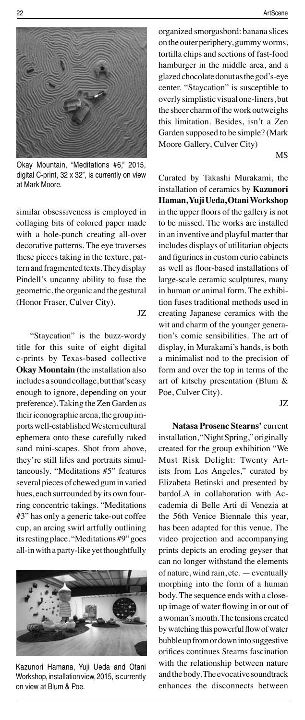

Okay Mountain, "Meditations #6," 2015, digital C-print, 32 x 32", is currently on view at Mark Moore.

similar obsessiveness is employed in collaging bits of colored paper made with a hole-punch creating all-over decorative patterns. The eye traverses these pieces taking in the texture, pattern and fragmented texts. They display Pindell's uncanny ability to fuse the geometric, the organic and the gestural (Honor Fraser, Culver City).

JZ

"Staycation" is the buzz-wordy title for this suite of eight digital c-prints by Texas-based collective **Okay Mountain** (the installation also includes a sound collage, but that's easy enough to ignore, depending on your preference). Taking the Zen Garden as their iconographic arena, the group imports well-established Western cultural ephemera onto these carefully raked sand mini-scapes. Shot from above, they're still lifes and portraits simultaneously. "Meditations #5" features several pieces of chewed gum in varied hues, each surrounded by its own fourring concentric takings. "Meditations #3" has only a generic take-out coffee cup, an arcing swirl artfully outlining its resting place. "Meditations #9" goes all-in with a party-like yet thoughtfully



Kazunori Hamana, Yuji Ueda and Otani Workshop, installation view, 2015, is currently on view at Blum & Poe.

organized smorgasbord: banana slices on the outer periphery, gummy worms, tortilla chips and sections of fast-food hamburger in the middle area, and a glazed chocolate donut as the god's-eye center. "Staycation" is susceptible to overly simplistic visual one-liners, but the sheer charm of the work outweighs this limitation. Besides, isn't a Zen Garden supposed to be simple? (Mark Moore Gallery, Culver City)

MS

Curated by Takashi Murakami, the installation of ceramics by **Kazunori Haman, Yuji Ueda, Otani Workshop**  in the upper floors of the gallery is not to be missed. The works are installed in an inventive and playful matter that includes displays of utilitarian objects and figurines in custom curio cabinets as well as floor-based installations of large-scale ceramic sculptures, many in human or animal form. The exhibition fuses traditional methods used in creating Japanese ceramics with the wit and charm of the younger generation's comic sensibilities. The art of display, in Murakami's hands, is both a minimalist nod to the precision of form and over the top in terms of the art of kitschy presentation (Blum & Poe, Culver City).

JZ

**Natasa Prosenc Stearns'** current installation, "Night Spring," originally created for the group exhibition "We Must Risk Delight: Twenty Artists from Los Angeles," curated by Elizabeta Betinski and presented by bardoLA in collaboration with Accademia di Belle Arti di Venezia at the 56th Venice Biennale this year, has been adapted for this venue. The video projection and accompanying prints depicts an eroding geyser that can no longer withstand the elements of nature, wind rain, etc. — eventually morphing into the form of a human body. The sequence ends with a closeup image of water flowing in or out of a woman's mouth. The tensions created by watching this powerful flow of water bubble up from or down into suggestive orifices continues Stearns fascination with the relationship between nature and the body. The evocative soundtrack enhances the disconnects between